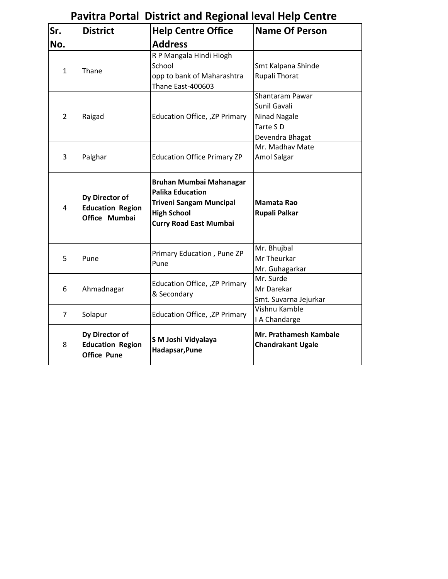| Sr.            | <b>District</b>                                                 | <b>Help Centre Office</b>                                                                                                                   | <b>Name Of Person</b>                                                          |
|----------------|-----------------------------------------------------------------|---------------------------------------------------------------------------------------------------------------------------------------------|--------------------------------------------------------------------------------|
| No.            |                                                                 | <b>Address</b>                                                                                                                              |                                                                                |
| 1              | Thane                                                           | R P Mangala Hindi Hiogh<br>School<br>opp to bank of Maharashtra<br>Thane East-400603                                                        | Smt Kalpana Shinde<br>Rupali Thorat                                            |
| $\overline{2}$ | Raigad                                                          | Education Office, , ZP Primary                                                                                                              | Shantaram Pawar<br>Sunil Gavali<br>Ninad Nagale<br>Tarte SD<br>Devendra Bhagat |
| 3              | Palghar                                                         | <b>Education Office Primary ZP</b>                                                                                                          | Mr. Madhav Mate<br>Amol Salgar                                                 |
| 4              | Dy Director of<br><b>Education Region</b><br>Office Mumbai      | Bruhan Mumbai Mahanagar<br><b>Palika Education</b><br><b>Triveni Sangam Muncipal</b><br><b>High School</b><br><b>Curry Road East Mumbai</b> | Mamata Rao<br>Rupali Palkar                                                    |
| 5              | Pune                                                            | Primary Education, Pune ZP<br>Pune                                                                                                          | Mr. Bhujbal<br>Mr Theurkar<br>Mr. Guhagarkar                                   |
| 6              | Ahmadnagar                                                      | Education Office, , ZP Primary<br>& Secondary                                                                                               | Mr. Surde<br>Mr Darekar<br>Smt. Suvarna Jejurkar                               |
| $\overline{7}$ | Solapur                                                         | Education Office, , ZP Primary                                                                                                              | Vishnu Kamble<br>I A Chandarge                                                 |
| 8              | Dy Director of<br><b>Education Region</b><br><b>Office Pune</b> | S M Joshi Vidyalaya<br>Hadapsar, Pune                                                                                                       | Mr. Prathamesh Kambale<br><b>Chandrakant Ugale</b>                             |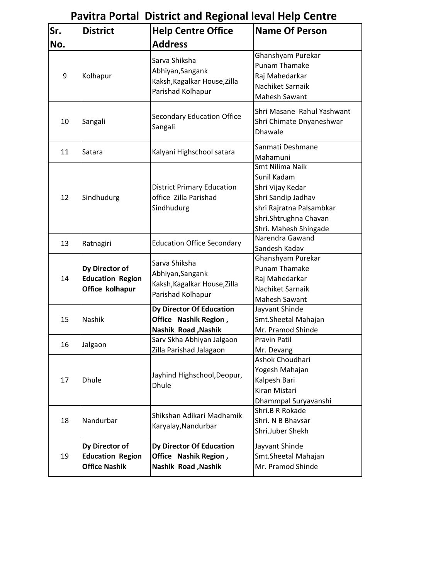| Sr. | <b>District</b>                                                   | <b>Help Centre Office</b>                                                              | <b>Name Of Person</b>                                                                                                                                  |
|-----|-------------------------------------------------------------------|----------------------------------------------------------------------------------------|--------------------------------------------------------------------------------------------------------------------------------------------------------|
| No. |                                                                   | <b>Address</b>                                                                         |                                                                                                                                                        |
| 9   | Kolhapur                                                          | Sarva Shiksha<br>Abhiyan, Sangank<br>Kaksh, Kagalkar House, Zilla<br>Parishad Kolhapur | Ghanshyam Purekar<br><b>Punam Thamake</b><br>Raj Mahedarkar<br>Nachiket Sarnaik<br>Mahesh Sawant                                                       |
| 10  | Sangali                                                           | Secondary Education Office<br>Sangali                                                  | Shri Masane Rahul Yashwant<br>Shri Chimate Dnyaneshwar<br>Dhawale                                                                                      |
| 11  | Satara                                                            | Kalyani Highschool satara                                                              | Sanmati Deshmane<br>Mahamuni                                                                                                                           |
| 12  | Sindhudurg                                                        | <b>District Primary Education</b><br>office Zilla Parishad<br>Sindhudurg               | Smt Nilima Naik<br>Sunil Kadam<br>Shri Vijay Kedar<br>Shri Sandip Jadhav<br>shri Rajratna Palsambkar<br>Shri.Shtrughna Chavan<br>Shri. Mahesh Shingade |
| 13  | Ratnagiri                                                         | <b>Education Office Secondary</b>                                                      | Narendra Gawand<br>Sandesh Kadav                                                                                                                       |
| 14  | Dy Director of<br><b>Education Region</b><br>Office kolhapur      | Sarva Shiksha<br>Abhiyan, Sangank<br>Kaksh, Kagalkar House, Zilla<br>Parishad Kolhapur | Ghanshyam Purekar<br><b>Punam Thamake</b><br>Raj Mahedarkar<br>Nachiket Sarnaik<br>Mahesh Sawant                                                       |
| 15  | Nashik                                                            | Dy Director Of Education<br>Office Nashik Region,<br>Nashik Road, Nashik               | Jayvant Shinde<br>Smt.Sheetal Mahajan<br>Mr. Pramod Shinde                                                                                             |
| 16  | Jalgaon                                                           | Sarv Skha Abhiyan Jalgaon<br>Zilla Parishad Jalagaon                                   | <b>Pravin Patil</b><br>Mr. Devang                                                                                                                      |
| 17  | <b>Dhule</b>                                                      | Jayhind Highschool, Deopur,<br><b>Dhule</b>                                            | Ashok Choudhari<br>Yogesh Mahajan<br>Kalpesh Bari<br>Kiran Mistari<br>Dhammpal Suryavanshi                                                             |
| 18  | Nandurbar                                                         | Shikshan Adikari Madhamik<br>Karyalay, Nandurbar                                       | Shri.B R Rokade<br>Shri. N B Bhavsar<br>Shri.Juber Shekh                                                                                               |
| 19  | Dy Director of<br><b>Education Region</b><br><b>Office Nashik</b> | <b>Dy Director Of Education</b><br>Office Nashik Region,<br>Nashik Road, Nashik        | Jayvant Shinde<br>Smt.Sheetal Mahajan<br>Mr. Pramod Shinde                                                                                             |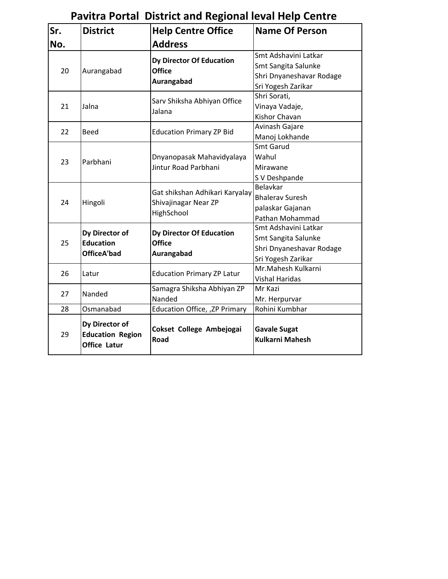| Sr. | <b>District</b>                                                  | <b>Help Centre Office</b>                                            | <b>Name Of Person</b>                                                                         |
|-----|------------------------------------------------------------------|----------------------------------------------------------------------|-----------------------------------------------------------------------------------------------|
| No. |                                                                  | <b>Address</b>                                                       |                                                                                               |
| 20  | Aurangabad                                                       | Dy Director Of Education<br><b>Office</b><br>Aurangabad              | Smt Adshavini Latkar<br>Smt Sangita Salunke<br>Shri Dnyaneshavar Rodage<br>Sri Yogesh Zarikar |
| 21  | Jalna                                                            | Sarv Shiksha Abhiyan Office<br>Jalana                                | Shri Sorati,<br>Vinaya Vadaje,<br>Kishor Chavan                                               |
| 22  | <b>Beed</b>                                                      | <b>Education Primary ZP Bid</b>                                      | Avinash Gajare<br>Manoj Lokhande                                                              |
| 23  | Parbhani                                                         | Dnyanopasak Mahavidyalaya<br>Jintur Road Parbhani                    | Smt Garud<br>Wahul<br>Mirawane<br>S V Deshpande                                               |
| 24  | Hingoli                                                          | Gat shikshan Adhikari Karyalay<br>Shivajinagar Near ZP<br>HighSchool | Belavkar<br><b>Bhalerav Suresh</b><br>palaskar Gajanan<br>Pathan Mohammad                     |
| 25  | Dy Director of<br><b>Education</b><br><b>OfficeA'bad</b>         | <b>Dy Director Of Education</b><br><b>Office</b><br>Aurangabad       | Smt Adshavini Latkar<br>Smt Sangita Salunke<br>Shri Dnyaneshavar Rodage<br>Sri Yogesh Zarikar |
| 26  | Latur                                                            | <b>Education Primary ZP Latur</b>                                    | Mr.Mahesh Kulkarni<br><b>Vishal Haridas</b>                                                   |
| 27  | Nanded                                                           | Samagra Shiksha Abhiyan ZP<br>Nanded                                 | Mr Kazi<br>Mr. Herpurvar                                                                      |
| 28  | Osmanabad                                                        | Education Office, , ZP Primary                                       | Rohini Kumbhar                                                                                |
| 29  | Dy Director of<br><b>Education Region</b><br><b>Office Latur</b> | Cokset College Ambejogai<br>Road                                     | <b>Gavale Sugat</b><br><b>Kulkarni Mahesh</b>                                                 |